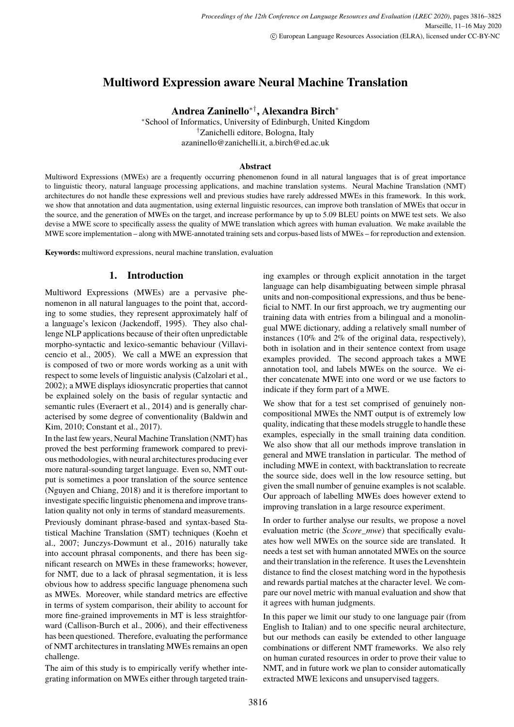# <span id="page-0-0"></span>**Multiword Expression aware Neural Machine Translation**

**Andrea Zaninello**∗†**, Alexandra Birch**<sup>∗</sup>

<sup>∗</sup>School of Informatics, University of Edinburgh, United Kingdom †Zanichelli editore, Bologna, Italy azaninello@zanichelli.it, a.birch@ed.ac.uk

### **Abstract**

Multiword Expressions (MWEs) are a frequently occurring phenomenon found in all natural languages that is of great importance to linguistic theory, natural language processing applications, and machine translation systems. Neural Machine Translation (NMT) architectures do not handle these expressions well and previous studies have rarely addressed MWEs in this framework. In this work, we show that annotation and data augmentation, using external linguistic resources, can improve both translation of MWEs that occur in the source, and the generation of MWEs on the target, and increase performance by up to 5.09 BLEU points on MWE test sets. We also devise a MWE score to specifically assess the quality of MWE translation which agrees with human evaluation. We make available the MWE score implementation – along with MWE-annotated training sets and corpus-based lists of MWEs – for reproduction and extension.

**Keywords:** multiword expressions, neural machine translation, evaluation

# **1. Introduction**

Multiword Expressions (MWEs) are a pervasive phenomenon in all natural languages to the point that, according to some studies, they represent approximately half of a language's lexicon (Jackendoff, 1995). They also challenge NLP applications because of their often unpredictable morpho-syntactic and lexico-semantic behaviour (Villavicencio et al., 2005). We call a MWE an expression that is composed of two or more words working as a unit with respect to some levels of linguistic analysis (Calzolari et al., 2002); a MWE displays idiosyncratic properties that cannot be explained solely on the basis of regular syntactic and semantic rules (Everaert et al., 2014) and is generally characterised by some degree of conventionality (Baldwin and Kim, 2010; Constant et al., 2017).

In the last few years, Neural Machine Translation (NMT) has proved the best performing framework compared to previous methodologies, with neural architectures producing ever more natural-sounding target language. Even so, NMT output is sometimes a poor translation of the source sentence (Nguyen and Chiang, 2018) and it is therefore important to investigate specific linguistic phenomena and improve translation quality not only in terms of standard measurements.

Previously dominant phrase-based and syntax-based Statistical Machine Translation (SMT) techniques (Koehn et al., 2007; Junczys-Dowmunt et al., 2016) naturally take into account phrasal components, and there has been significant research on MWEs in these frameworks; however, for NMT, due to a lack of phrasal segmentation, it is less obvious how to address specific language phenomena such as MWEs. Moreover, while standard metrics are effective in terms of system comparison, their ability to account for more fine-grained improvements in MT is less straightforward (Callison-Burch et al., 2006), and their effectiveness has been questioned. Therefore, evaluating the performance of NMT architectures in translating MWEs remains an open challenge.

The aim of this study is to empirically verify whether integrating information on MWEs either through targeted training examples or through explicit annotation in the target language can help disambiguating between simple phrasal units and non-compositional expressions, and thus be beneficial to NMT. In our first approach, we try augmenting our training data with entries from a bilingual and a monolingual MWE dictionary, adding a relatively small number of instances (10% and 2% of the original data, respectively), both in isolation and in their sentence context from usage examples provided. The second approach takes a MWE annotation tool, and labels MWEs on the source. We either concatenate MWE into one word or we use factors to indicate if they form part of a MWE.

We show that for a test set comprised of genuinely noncompositional MWEs the NMT output is of extremely low quality, indicating that these models struggle to handle these examples, especially in the small training data condition. We also show that all our methods improve translation in general and MWE translation in particular. The method of including MWE in context, with backtranslation to recreate the source side, does well in the low resource setting, but given the small number of genuine examples is not scalable. Our approach of labelling MWEs does however extend to improving translation in a large resource experiment.

In order to further analyse our results, we propose a novel evaluation metric (the *Score\_mwe*) that specifically evaluates how well MWEs on the source side are translated. It needs a test set with human annotated MWEs on the source and their translation in the reference. It uses the Levenshtein distance to find the closest matching word in the hypothesis and rewards partial matches at the character level. We compare our novel metric with manual evaluation and show that it agrees with human judgments.

In this paper we limit our study to one language pair (from English to Italian) and to one specific neural architecture, but our methods can easily be extended to other language combinations or different NMT frameworks. We also rely on human curated resources in order to prove their value to NMT, and in future work we plan to consider automatically extracted MWE lexicons and unsupervised taggers.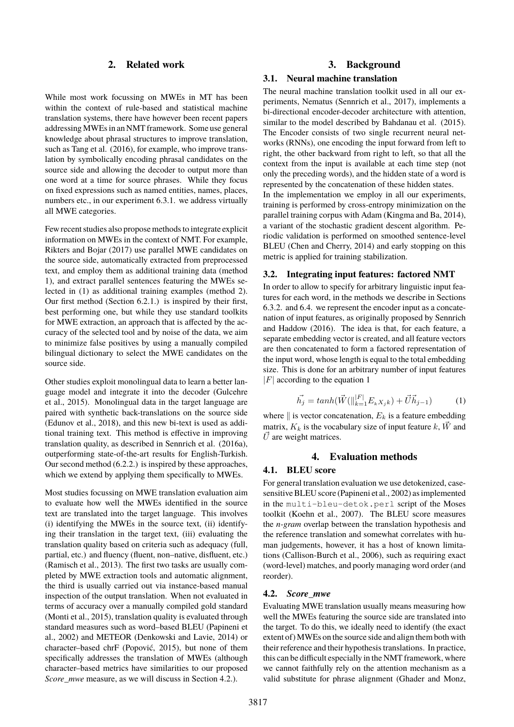# **2. Related work**

While most work focussing on MWEs in MT has been within the context of rule-based and statistical machine translation systems, there have however been recent papers addressing MWEs in an NMT framework. Some use general knowledge about phrasal structures to improve translation, such as [Tang et al. \(2016\)](#page-0-0), for example, who improve translation by symbolically encoding phrasal candidates on the source side and allowing the decoder to output more than one word at a time for source phrases. While they focus on fixed expressions such as named entities, names, places, numbers etc., in our experiment [6.3.1.](#page-5-0) we address virtually all MWE categories.

Few recent studies also propose methods to integrate explicit information on MWEs in the context of NMT. For example, [Rikters and Bojar \(2017\)](#page-0-0) use parallel MWE candidates on the source side, automatically extracted from preprocessed text, and employ them as additional training data (method 1), and extract parallel sentences featuring the MWEs selected in (1) as additional training examples (method 2). Our first method (Section [6.2.1.\)](#page-4-0) is inspired by their first, best performing one, but while they use standard toolkits for MWE extraction, an approach that is affected by the accuracy of the selected tool and by noise of the data, we aim to minimize false positives by using a manually compiled bilingual dictionary to select the MWE candidates on the source side.

Other studies exploit monolingual data to learn a better language model and integrate it into the decoder [\(Gulcehre](#page-0-0) [et al., 2015\)](#page-0-0). Monolingual data in the target language are paired with synthetic back-translations on the source side [\(Edunov et al., 2018\)](#page-0-0), and this new bi-text is used as additional training text. This method is effective in improving translation quality, as described in [Sennrich et al. \(2016a\)](#page-0-0), outperforming state-of-the-art results for English-Turkish. Our second method [\(6.2.2.\)](#page-4-1) is inspired by these approaches, which we extend by applying them specifically to MWEs.

Most studies focussing on MWE translation evaluation aim to evaluate how well the MWEs identified in the source text are translated into the target language. This involves (i) identifying the MWEs in the source text, (ii) identifying their translation in the target text, (iii) evaluating the translation quality based on criteria such as adequacy (full, partial, etc.) and fluency (fluent, non–native, disfluent, etc.) [\(Ramisch et al., 2013\)](#page-0-0). The first two tasks are usually completed by MWE extraction tools and automatic alignment, the third is usually carried out via instance-based manual inspection of the output translation. When not evaluated in terms of accuracy over a manually compiled gold standard [\(Monti et al., 2015\)](#page-0-0), translation quality is evaluated through standard measures such as word–based BLEU [\(Papineni et](#page-0-0) [al., 2002\)](#page-0-0) and METEOR [\(Denkowski and Lavie, 2014\)](#page-0-0) or character–based chrF [\(Popović, 2015\)](#page-0-0), but none of them specifically addresses the translation of MWEs (although character–based metrics have similarities to our proposed *Score mwe* measure, as we will discuss in Section [4.2.\)](#page-1-0).

### **3. Background**

#### **3.1. Neural machine translation**

The neural machine translation toolkit used in all our experiments, Nematus [\(Sennrich et al., 2017\)](#page-0-0), implements a bi-directional encoder-decoder architecture with attention, similar to the model described by [Bahdanau et al. \(2015\)](#page-0-0). The Encoder consists of two single recurrent neural networks (RNNs), one encoding the input forward from left to right, the other backward from right to left, so that all the context from the input is available at each time step (not only the preceding words), and the hidden state of a word is represented by the concatenation of these hidden states. In the implementation we employ in all our experiments, training is performed by cross-entropy minimization on the parallel training corpus with Adam [\(Kingma and Ba, 2014\)](#page-0-0), a variant of the stochastic gradient descent algorithm. Periodic validation is performed on smoothed sentence-level BLEU [\(Chen and Cherry, 2014\)](#page-0-0) and early stopping on this metric is applied for training stabilization.

#### **3.2. Integrating input features: factored NMT**

In order to allow to specify for arbitrary linguistic input features for each word, in the methods we describe in Sections [6.3.2.](#page-5-1) and [6.4.](#page-5-2) we represent the encoder input as a concatenation of input features, as originally proposed by [Sennrich](#page-0-0) [and Haddow \(2016\)](#page-0-0). The idea is that, for each feature, a separate embedding vector is created, and all feature vectors are then concatenated to form a factored representation of the input word, whose length is equal to the total embedding size. This is done for an arbitrary number of input features  $|F|$  according to the equation [1](#page-1-1)

$$
\vec{h_j} = \tanh(\vec{W}(\|\vec{k-1}^F E_k X_j k) + \vec{U} \vec{h}_{j-1})
$$
 (1)

<span id="page-1-1"></span>where  $\parallel$  is vector concatenation,  $E_k$  is a feature embedding matrix,  $K_k$  is the vocabulary size of input feature k,  $\vec{W}$  and  $\vec{U}$  are weight matrices.

#### **4. Evaluation methods**

### <span id="page-1-2"></span>**4.1. BLEU score**

For general translation evaluation we use detokenized, casesensitive BLEU score [\(Papineni et al., 2002\)](#page-0-0) as implemented in the multi-bleu-detok.perl script of the Moses toolkit [\(Koehn et al., 2007\)](#page-0-0). The BLEU score measures the *n-gram* overlap between the translation hypothesis and the reference translation and somewhat correlates with human judgements, however, it has a host of known limitations [\(Callison-Burch et al., 2006\)](#page-0-0), such as requiring exact (word-level) matches, and poorly managing word order (and reorder).

### <span id="page-1-0"></span>**4.2.** *Score\_mwe*

Evaluating MWE translation usually means measuring how well the MWEs featuring the source side are translated into the target. To do this, we ideally need to identify (the exact extent of) MWEs on the source side and align them both with their reference and their hypothesis translations. In practice, this can be difficult especially in the NMT framework, where we cannot faithfully rely on the attention mechanism as a valid substitute for phrase alignment [\(Ghader and Monz,](#page-0-0)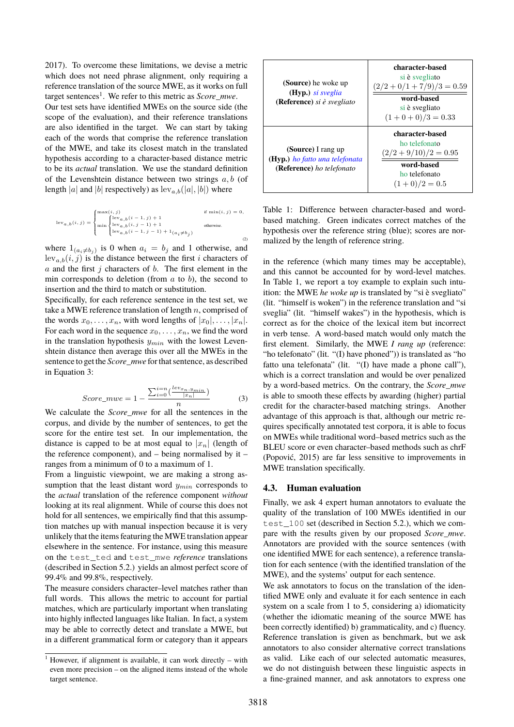[2017\)](#page-0-0). To overcome these limitations, we devise a metric which does not need phrase alignment, only requiring a reference translation of the source MWE, as it works on full target sentences<sup>[1](#page-0-0)</sup>. We refer to this metric as *Score\_mwe*. Our test sets have identified MWEs on the source side (the scope of the evaluation), and their reference translations

are also identified in the target. We can start by taking each of the words that comprise the reference translation of the MWE, and take its closest match in the translated hypothesis according to a character-based distance metric to be its *actual* translation. We use the standard definition of the Levenshtein distance between two strings  $a, b$  (of length |a| and |b| respectively) as  $\text{lev}_{a,b}([a], [b])$  where

$$
\mathrm{lev}_{a,b}(i,j) = \begin{cases} \max(i,j) & \text{if } \min(i,j) = 0, \\ \max\left\{\underset{\mathrm{lev}_{a,b}(i,j-1)+1}{\mathrm{lev}_{a,b}(i,j-1)+1} \hspace{10pt}\text{otherwise.} \right. \\ \min\left\{\underset{\mathrm{lev}_{a,b}(i-1,j-1)+1}{\mathrm{lev}_{a,b}(i-1,j-1)+1} \hspace{10pt}\text{otherwise.} \right. \end{cases} \hspace{.5cm} \text{in} \hspace{.2cm} \mathrm{in} \hspace{.2cm} \mathrm{in} \hspace{.2cm} \mathrm{new}_{a,b}(i,j) = 0 \hspace{.5cm} \mathrm{in} \hspace{.2cm} \mathrm{new}_{a,b}(i,j) = 0 \hspace{.5cm} \mathrm{in} \hspace{.2cm} \mathrm{new}_{a,b}(i,j) = 0 \hspace{.5cm} \mathrm{new}_{a,b}(i,j) = 0 \hspace{.5cm} \mathrm{new}_{a,b}(i,j) = 0 \hspace{.5cm} \mathrm{new}_{a,b}(i,j) = 0 \hspace{.5cm} \mathrm{new}_{a,b}(i,j) = 0 \hspace{.5cm} \mathrm{new}_{a,b}(i,j) = 0 \hspace{.5cm} \mathrm{new}_{a,b}(i,j) = 0 \hspace{.5cm} \mathrm{new}_{a,b}(i,j) = 0 \hspace{.5cm} \mathrm{new}_{a,b}(i,j) = 0 \hspace{.5cm} \mathrm{new}_{a,b}(i,j) = 0 \hspace{.5cm} \mathrm{new}_{a,b}(i,j) = 0 \hspace{.5cm} \mathrm{new}_{a,b}(i,j) = 0 \hspace{.5cm} \mathrm{new}_{a,b}(i,j) = 0 \hspace{.5cm} \mathrm{new}_{a,b}(i,j) = 0 \hspace{.5cm} \mathrm{new}_{a,b}(i,j) = 0 \hspace{.5cm} \mathrm{new}_{a,b}(i,j) = 0 \hspace{.5cm} \mathrm{new}_{a,b}(i,j) = 0 \hspace{.5cm} \mathrm{new}_{a,b}(i,j) = 0 \hspace{.5cm} \mathrm{new}_{a,b}(i-1,j) = 0 \hspace{.5cm} \mathrm{new}_{a,b}(i,j) = 0 \hspace{.5cm} \mathrm{new}_{a,b}(i,j) = 0 \hspace{.5cm} \mathrm{new}_{a,b}(i,j) = 0 \hspace{.5cm} \
$$

where  $1_{(a_i \neq b_j)}$  is 0 when  $a_i = b_j$  and 1 otherwise, and  $lev_{a,b}(i, j)$  is the distance between the first i characters of  $a$  and the first  $j$  characters of  $b$ . The first element in the min corresponds to deletion (from  $a$  to  $b$ ), the second to insertion and the third to match or substitution.

Specifically, for each reference sentence in the test set, we take a MWE reference translation of length  $n$ , comprised of the words  $x_0, \ldots, x_n$ , with word lengths of  $|x_0|, \ldots, |x_n|$ . For each word in the sequence  $x_0, \ldots, x_n$ , we find the word in the translation hypothesis  $y_{min}$  with the lowest Levenshtein distance then average this over all the MWEs in the sentence to get the *Score\_mwe* for that sentence, as described in Equation [3:](#page-2-0)

$$
Score\_mwe = 1 - \frac{\sum_{i=0}^{i=n} \left(\frac{lev_{x_n}, y_{min}}{|x_n|}\right)}{n}
$$
 (3)

<span id="page-2-0"></span>We calculate the *Score\_mwe* for all the sentences in the corpus, and divide by the number of sentences, to get the score for the entire test set. In our implementation, the distance is capped to be at most equal to  $|x_n|$  (length of the reference component), and – being normalised by it – ranges from a minimum of 0 to a maximum of 1.

From a linguistic viewpoint, we are making a strong assumption that the least distant word  $y_{min}$  corresponds to the *actual* translation of the reference component *without* looking at its real alignment. While of course this does not hold for all sentences, we empirically find that this assumption matches up with manual inspection because it is very unlikely that the items featuring the MWE translation appear elsewhere in the sentence. For instance, using this measure on the test\_ted and test\_mwe *reference* translations (described in Section [5.2.\)](#page-3-0) yields an almost perfect score of 99.4% and 99.8%, respectively.

The measure considers character–level matches rather than full words. This allows the metric to account for partial matches, which are particularly important when translating into highly inflected languages like Italian. In fact, a system may be able to correctly detect and translate a MWE, but in a different grammatical form or category than it appears

| (Source) he woke up<br>$(Hyp.)$ si sveglia<br>( <b>Reference</b> ) si è svegliato | character-based<br>si è svegliato<br>$\frac{(2/2 + 0/1 + 7/9)}{3} = 0.59$<br>word-based<br>si è svegliato<br>$(1+0+0)/3=0.33$ |
|-----------------------------------------------------------------------------------|-------------------------------------------------------------------------------------------------------------------------------|
| (Source) I rang up<br>(Hyp.) ho fatto una telefonata<br>(Reference) ho telefonato | character-based<br>ho telefonato<br>$\frac{(2/2 + 9/10)}{2} = 0.95$<br>word-based<br>ho telefonato<br>$(1+0)/2=0.5$           |

<span id="page-2-1"></span>Table 1: Difference between character-based and wordbased matching. Green indicates correct matches of the hypothesis over the reference string (blue); scores are normalized by the length of reference string.

in the reference (which many times may be acceptable), and this cannot be accounted for by word-level matches. In Table [1,](#page-2-1) we report a toy example to explain such intuition: the MWE *he woke up* is translated by "si è svegliato" (lit. "himself is woken") in the reference translation and "si sveglia" (lit. "himself wakes") in the hypothesis, which is correct as for the choice of the lexical item but incorrect in verb tense. A word-based match would only match the first element. Similarly, the MWE *I rang up* (reference: "ho telefonato" (lit. "(I) have phoned")) is translated as "ho fatto una telefonata" (lit. "(I) have made a phone call"), which is a correct translation and would be over penalized by a word-based metrics. On the contrary, the *Score\_mwe* is able to smooth these effects by awarding (higher) partial credit for the character-based matching strings. Another advantage of this approach is that, although our metric requires specifically annotated test corpora, it is able to focus on MWEs while traditional word–based metrics such as the BLEU score or even character–based methods such as chrF [\(Popović, 2015\)](#page-0-0) are far less sensitive to improvements in MWE translation specifically.

### **4.3. Human evaluation**

Finally, we ask 4 expert human annotators to evaluate the quality of the translation of 100 MWEs identified in our test 100 set (described in Section [5.2.\)](#page-3-0), which we compare with the results given by our proposed *Score\_mwe*. Annotators are provided with the source sentences (with one identified MWE for each sentence), a reference translation for each sentence (with the identified translation of the MWE), and the systems' output for each sentence.

We ask annotators to focus on the translation of the identified MWE only and evaluate it for each sentence in each system on a scale from 1 to 5, considering a) idiomaticity (whether the idiomatic meaning of the source MWE has been correctly identified) b) grammaticality, and c) fluency. Reference translation is given as benchmark, but we ask annotators to also consider alternative correct translations as valid. Like each of our selected automatic measures, we do not distinguish between these linguistic aspects in a fine-grained manner, and ask annotators to express one

<sup>&</sup>lt;sup>1</sup> However, if alignment is available, it can work directly – with even more precision – on the aligned items instead of the whole target sentence.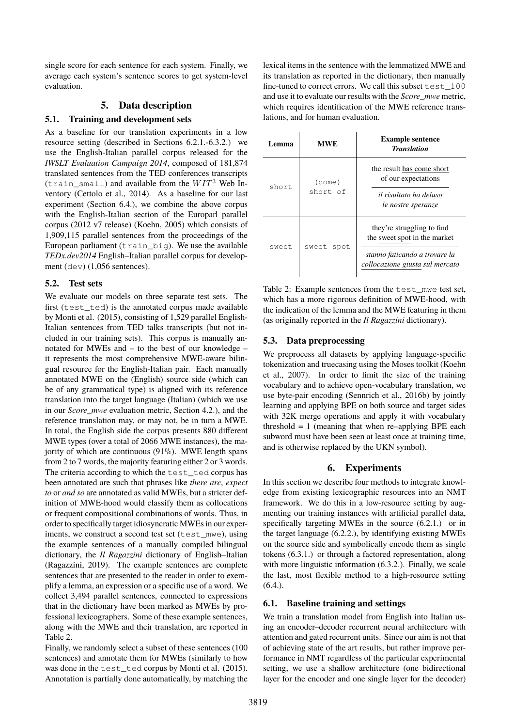single score for each sentence for each system. Finally, we average each system's sentence scores to get system-level evaluation.

# **5. Data description**

# <span id="page-3-3"></span>**5.1. Training and development sets**

As a baseline for our translation experiments in a low resource setting (described in Sections [6.2.1.](#page-4-0)[-6.3.2.\)](#page-5-1) we use the English-Italian parallel corpus released for the *IWSLT Evaluation Campaign 2014*, composed of 181,874 translated sentences from the TED conferences transcripts (train\_small) and available from the  $WIT^3$  Web Inventory [\(Cettolo et al., 2014\)](#page-0-0). As a baseline for our last experiment (Section [6.4.\)](#page-5-2), we combine the above corpus with the English-Italian section of the Europarl parallel corpus (2012 v7 release) [\(Koehn, 2005\)](#page-0-0) which consists of 1,909,115 parallel sentences from the proceedings of the European parliament  $(t \text{rain\_big})$ . We use the available *TEDx.dev2014* English–Italian parallel corpus for development (dev) (1,056 sentences).

### <span id="page-3-0"></span>**5.2. Test sets**

We evaluate our models on three separate test sets. The first (test\_ted) is the annotated corpus made available by [Monti et al. \(2015\)](#page-0-0), consisting of 1,529 parallel English-Italian sentences from TED talks transcripts (but not included in our training sets). This corpus is manually annotated for MWEs and – to the best of our knowledge – it represents the most comprehensive MWE-aware bilingual resource for the English-Italian pair. Each manually annotated MWE on the (English) source side (which can be of any grammatical type) is aligned with its reference translation into the target language (Italian) (which we use in our *Score\_mwe* evaluation metric, Section [4.2.\)](#page-1-0), and the reference translation may, or may not, be in turn a MWE. In total, the English side the corpus presents 880 different MWE types (over a total of 2066 MWE instances), the majority of which are continuous  $(91\%)$ . MWE length spans from 2 to 7 words, the majority featuring either 2 or 3 words. The criteria according to which the test ted corpus has been annotated are such that phrases like *there are*, *expect to* or *and so* are annotated as valid MWEs, but a stricter definition of MWE-hood would classify them as collocations or frequent compositional combinations of words. Thus, in order to specifically target idiosyncratic MWEs in our experiments, we construct a second test set (test\_mwe), using the example sentences of a manually compiled bilingual dictionary, the *Il Ragazzini* dictionary of English–Italian [\(Ragazzini, 2019\)](#page-0-0). The example sentences are complete sentences that are presented to the reader in order to exemplify a lemma, an expression or a specific use of a word. We collect 3,494 parallel sentences, connected to expressions that in the dictionary have been marked as MWEs by professional lexicographers. Some of these example sentences, along with the MWE and their translation, are reported in Table [2.](#page-3-1)

Finally, we randomly select a subset of these sentences (100 sentences) and annotate them for MWEs (similarly to how was done in the test ted corpus by [Monti et al. \(2015\)](#page-0-0). Annotation is partially done automatically, by matching the lexical items in the sentence with the lemmatized MWE and its translation as reported in the dictionary, then manually fine-tuned to correct errors. We call this subset test\_100 and use it to evaluate our results with the *Score\_mwe* metric, which requires identification of the MWE reference translations, and for human evaluation.

| Lemma | <b>MWE</b>                  | <b>Example sentence</b><br><b>Translation</b>                                                                                  |
|-------|-----------------------------|--------------------------------------------------------------------------------------------------------------------------------|
| short | $(\text{come})$<br>short of | the result has come short<br>of our expectations<br>il risultato ha deluso<br>le nostre speranze                               |
| sweet | sweet<br>spot               | they're struggling to find<br>the sweet spot in the market<br>stanno faticando a trovare la<br>collocazione giusta sul mercato |

<span id="page-3-1"></span>Table 2: Example sentences from the test\_mwe test set, which has a more rigorous definition of MWE-hood, with the indication of the lemma and the MWE featuring in them (as originally reported in the *Il Ragazzini* dictionary).

# **5.3. Data preprocessing**

We preprocess all datasets by applying language-specific tokenization and truecasing using the Moses toolkit [\(Koehn](#page-0-0) [et al., 2007\)](#page-0-0). In order to limit the size of the training vocabulary and to achieve open-vocabulary translation, we use byte-pair encoding [\(Sennrich et al., 2016b\)](#page-0-0) by jointly learning and applying BPE on both source and target sides with 32K merge operations and apply it with vocabulary threshold  $= 1$  (meaning that when re–applying BPE each subword must have been seen at least once at training time, and is otherwise replaced by the UKN symbol).

# **6. Experiments**

In this section we describe four methods to integrate knowledge from existing lexicographic resources into an NMT framework. We do this in a low-resource setting by augmenting our training instances with artificial parallel data, specifically targeting MWEs in the source [\(6.2.1.\)](#page-4-0) or in the target language [\(6.2.2.\)](#page-4-1), by identifying existing MWEs on the source side and symbolically encode them as single tokens [\(6.3.1.\)](#page-5-0) or through a factored representation, along with more linguistic information  $(6.3.2)$ . Finally, we scale the last, most flexible method to a high-resource setting  $(6.4.)$ .

# <span id="page-3-2"></span>**6.1. Baseline training and settings**

We train a translation model from English into Italian using an encoder–decoder recurrent neural architecture with attention and gated recurrent units. Since our aim is not that of achieving state of the art results, but rather improve performance in NMT regardless of the particular experimental setting, we use a shallow architecture (one bidirectional layer for the encoder and one single layer for the decoder)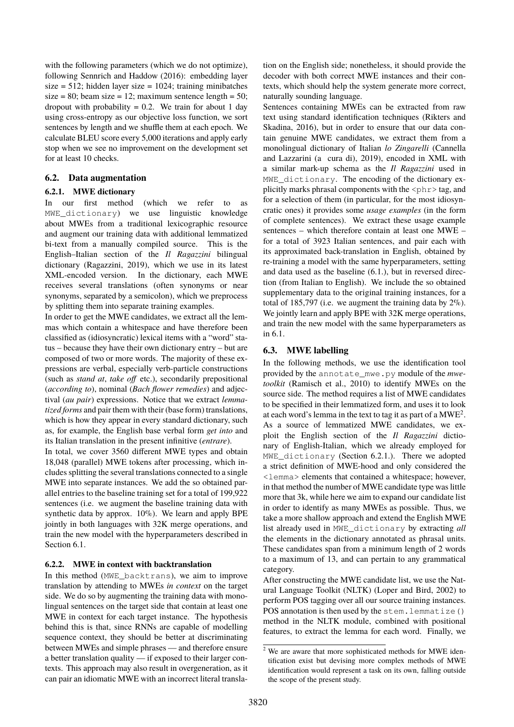with the following parameters (which we do not optimize), following [Sennrich and Haddow \(2016\)](#page-0-0): embedding layer size =  $512$ ; hidden layer size =  $1024$ ; training minibatches size = 80; beam size = 12; maximum sentence length = 50; dropout with probability  $= 0.2$ . We train for about 1 day using cross-entropy as our objective loss function, we sort sentences by length and we shuffle them at each epoch. We calculate BLEU score every 5,000 iterations and apply early stop when we see no improvement on the development set for at least 10 checks.

# **6.2. Data augmentation**

# <span id="page-4-0"></span>**6.2.1. MWE dictionary**

In our first method (which we refer to as MWE\_dictionary) we use linguistic knowledge about MWEs from a traditional lexicographic resource and augment our training data with additional lemmatized bi-text from a manually compiled source. This is the English–Italian section of the *Il Ragazzini* bilingual dictionary [\(Ragazzini, 2019\)](#page-0-0), which we use in its latest XML-encoded version. In the dictionary, each MWE receives several translations (often synonyms or near synonyms, separated by a semicolon), which we preprocess by splitting them into separate training examples.

In order to get the MWE candidates, we extract all the lemmas which contain a whitespace and have therefore been classified as (idiosyncratic) lexical items with a "word" status – because they have their own dictionary entry – but are composed of two or more words. The majority of these expressions are verbal, especially verb-particle constructions (such as *stand at*, *take off* etc.), secondarily prepositional (*according to*), nominal (*Bach flower remedies*) and adjectival (*au pair*) expressions. Notice that we extract *lemmatized forms* and pair them with their (base form) translations, which is how they appear in every standard dictionary, such as, for example, the English base verbal form *get into* and its Italian translation in the present infinitive (*entrare*).

In total, we cover 3560 different MWE types and obtain 18,048 (parallel) MWE tokens after processing, which includes splitting the several translations connected to a single MWE into separate instances. We add the so obtained parallel entries to the baseline training set for a total of 199,922 sentences (i.e. we augment the baseline training data with synthetic data by approx. 10%). We learn and apply BPE jointly in both languages with 32K merge operations, and train the new model with the hyperparameters described in Section [6.1.](#page-3-2)

# <span id="page-4-1"></span>**6.2.2. MWE in context with backtranslation**

In this method (MWE\_backtrans), we aim to improve translation by attending to MWEs *in context* on the target side. We do so by augmenting the training data with monolingual sentences on the target side that contain at least one MWE in context for each target instance. The hypothesis behind this is that, since RNNs are capable of modelling sequence context, they should be better at discriminating between MWEs and simple phrases — and therefore ensure a better translation quality — if exposed to their larger contexts. This approach may also result in overgeneration, as it can pair an idiomatic MWE with an incorrect literal translation on the English side; nonetheless, it should provide the decoder with both correct MWE instances and their contexts, which should help the system generate more correct, naturally sounding language.

Sentences containing MWEs can be extracted from raw text using standard identification techniques [\(Rikters and](#page-0-0) Skadin[a, 2016\)](#page-0-0), but in order to ensure that our data contain genuine MWE candidates, we extract them from a monolingual dictionary of Italian *lo Zingarelli* [\(Cannella](#page-0-0) [and Lazzarini \(a cura di\), 2019\)](#page-0-0), encoded in XML with a similar mark-up schema as the *Il Ragazzini* used in MWE dictionary. The encoding of the dictionary explicitly marks phrasal components with the  $\langle \text{phr} \rangle$  tag, and for a selection of them (in particular, for the most idiosyncratic ones) it provides some *usage examples* (in the form of complete sentences). We extract these usage example sentences – which therefore contain at least one MWE – for a total of 3923 Italian sentences, and pair each with its approximated back-translation in English, obtained by re-training a model with the same hyperparameters, setting and data used as the baseline [\(6.1.\)](#page-3-2), but in reversed direction (from Italian to English). We include the so obtained supplementary data to the original training instances, for a total of 185,797 (i.e. we augment the training data by  $2\%$ ). We jointly learn and apply BPE with 32K merge operations, and train the new model with the same hyperparameters as in [6.1.](#page-3-2)

# **6.3. MWE labelling**

In the following methods, we use the identification tool provided by the annotate\_mwe.py module of the *mwetoolkit* [\(Ramisch et al., 2010\)](#page-0-0) to identify MWEs on the source side. The method requires a list of MWE candidates to be specified in their lemmatized form, and uses it to look at each word's lemma in the text to tag it as part of a  $\mathrm{MWE}^2$  $\mathrm{MWE}^2$ . As a source of lemmatized MWE candidates, we exploit the English section of the *Il Ragazzini* dictionary of English-Italian, which we already employed for MWE\_dictionary (Section [6.2.1.\)](#page-4-0). There we adopted a strict definition of MWE-hood and only considered the <lemma> elements that contained a whitespace; however, in that method the number of MWE candidate type was little more that 3k, while here we aim to expand our candidate list in order to identify as many MWEs as possible. Thus, we take a more shallow approach and extend the English MWE list already used in MWE\_dictionary by extracting *all* the elements in the dictionary annotated as phrasal units. These candidates span from a minimum length of 2 words to a maximum of 13, and can pertain to any grammatical category.

After constructing the MWE candidate list, we use the Natural Language Toolkit (NLTK) [\(Loper and Bird, 2002\)](#page-0-0) to perform POS tagging over all our source training instances. POS annotation is then used by the stem.lemmatize() method in the NLTK module, combined with positional features, to extract the lemma for each word. Finally, we

<sup>&</sup>lt;sup>2</sup> We are aware that more sophisticated methods for MWE identification exist but devising more complex methods of MWE identification would represent a task on its own, falling outside the scope of the present study.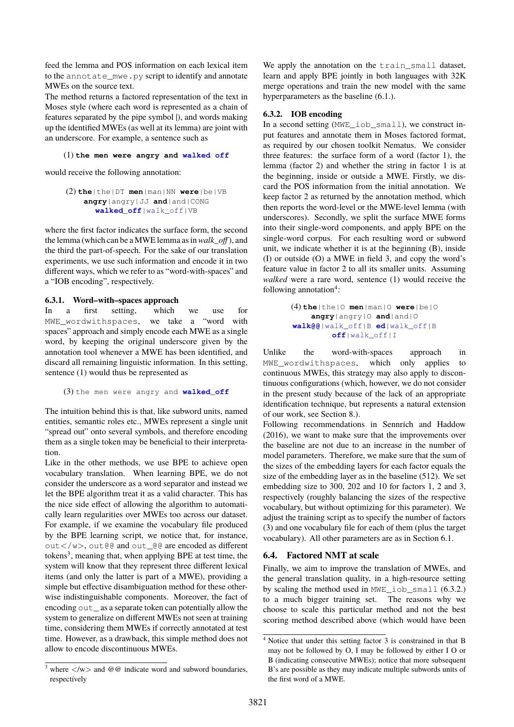feed the lemma and POS information on each lexical item to the annotate\_mwe.py script to identify and annotate MWEs on the source text.

The method returns a factored representation of the text in Moses style (where each word is represented as a chain of features separated by the pipe symbol |), and words making up the identified MWEs (as well at its lemma) are joint with an underscore. For example, a sentence such as

### (1) **the men were angry and walked off**

would receive the following annotation:

(2) **the**|the|DT **men**|man|NN **were**|be|VB **angry**|angry|JJ **and**|and|CONG **walked\_off**|walk\_off|VB

where the first factor indicates the surface form, the second the lemma (which can be a MWE lemma as in*walk\_off* ), and the third the part-of-speech. For the sake of our translation experiments, we use such information and encode it in two different ways, which we refer to as "word-with-spaces" and a "IOB encoding", respectively.

### <span id="page-5-0"></span>**6.3.1. Word–with–spaces approach**

In a first setting, which we use for MWE\_wordwithspaces, we take a "word with spaces" approach and simply encode each MWE as a single word, by keeping the original underscore given by the annotation tool whenever a MWE has been identified, and discard all remaining linguistic information. In this setting, sentence (1) would thus be represented as

```
(3) the men were angry and walked_off
```
The intuition behind this is that, like subword units, named entities, semantic roles etc., MWEs represent a single unit "spread out" onto several symbols, and therefore encoding them as a single token may be beneficial to their interpretation.

Like in the other methods, we use BPE to achieve open vocabulary translation. When learning BPE, we do not consider the underscore as a word separator and instead we let the BPE algorithm treat it as a valid character. This has the nice side effect of allowing the algorithm to automatically learn regularities over MWEs too across our dataset. For example, if we examine the vocabulary file produced by the BPE learning script, we notice that, for instance, out</w>, out@@ and out\_@@ are encoded as different tokens<sup>[3](#page-0-0)</sup>, meaning that, when applying BPE at test time, the system will know that they represent three different lexical items (and only the latter is part of a MWE), providing a simple but effective disambiguation method for these otherwise indistinguishable components. Moreover, the fact of encoding out\_ as a separate token can potentially allow the system to generalize on different MWEs not seen at training time, considering them MWEs if correctly annotated at test time. However, as a drawback, this simple method does not allow to encode discontinuous MWEs.

We apply the annotation on the train small dataset, learn and apply BPE jointly in both languages with 32K merge operations and train the new model with the same hyperparameters as the baseline  $(6.1.)$ .

# <span id="page-5-1"></span>**6.3.2. IOB encoding**

In a second setting (MWE\_iob\_small), we construct input features and annotate them in Moses factored format, as required by our chosen toolkit Nematus. We consider three features: the surface form of a word (factor 1), the lemma (factor 2) and whether the string in factor 1 is at the beginning, inside or outside a MWE. Firstly, we discard the POS information from the initial annotation. We keep factor 2 as returned by the annotation method, which then reports the word-level or the MWE-level lemma (with underscores). Secondly, we split the surface MWE forms into their single-word components, and apply BPE on the single-word corpus. For each resulting word or subword unit, we indicate whether it is at the beginning (B), inside (I) or outside (O) a MWE in field 3, and copy the word's feature value in factor 2 to all its smaller units. Assuming *walked* were a rare word, sentence (1) would receive the following annotation<sup>[4](#page-0-0)</sup>:

```
(4) the|the|O men|man|O were|be|O
    angry|angry|O and|and|O
walk@@|walk_off|B ed|walk_off|B
        off|walk_off|I
```
Unlike the word-with-spaces approach in MWE\_wordwithspaces, which only applies to continuous MWEs, this strategy may also apply to discontinuous configurations (which, however, we do not consider in the present study because of the lack of an appropriate identification technique, but represents a natural extension of our work, see Section [8.\)](#page-7-0).

Following recommendations in [Sennrich and Haddow](#page-0-0) [\(2016\)](#page-0-0), we want to make sure that the improvements over the baseline are not due to an increase in the number of model parameters. Therefore, we make sure that the sum of the sizes of the embedding layers for each factor equals the size of the embedding layer as in the baseline (512). We set embedding size to 300, 202 and 10 for factors 1, 2 and 3, respectively (roughly balancing the sizes of the respective vocabulary, but without optimizing for this parameter). We adjust the training script as to specify the number of factors (3) and one vocabulary file for each of them (plus the target vocabulary). All other parameters are as in Section [6.1.](#page-3-2)

# <span id="page-5-2"></span>**6.4. Factored NMT at scale**

Finally, we aim to improve the translation of MWEs, and the general translation quality, in a high-resource setting by scaling the method used in MWE iob small [\(6.3.2.\)](#page-5-1) to a much bigger training set. The reasons why we choose to scale this particular method and not the best scoring method described above (which would have been

<sup>&</sup>lt;sup>3</sup> where  $\langle$ /w $\rangle$  and @@ indicate word and subword boundaries, respectively

<sup>4</sup> Notice that under this setting factor 3 is constrained in that B may not be followed by O, I may be followed by either I O or B (indicating consecutive MWEs); notice that more subsequent B's are possible as they may indicate multiple subwords units of the first word of a MWE.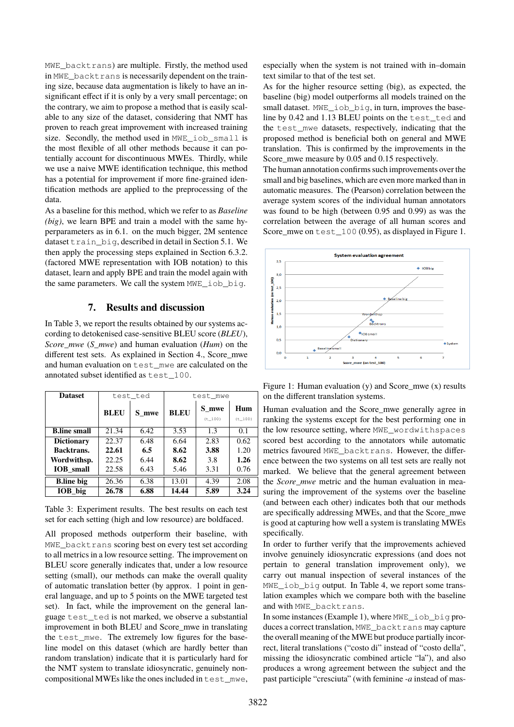MWE\_backtrans) are multiple. Firstly, the method used in MWE\_backtrans is necessarily dependent on the training size, because data augmentation is likely to have an insignificant effect if it is only by a very small percentage; on the contrary, we aim to propose a method that is easily scalable to any size of the dataset, considering that NMT has proven to reach great improvement with increased training size. Secondly, the method used in MWE iob small is the most flexible of all other methods because it can potentially account for discontinuous MWEs. Thirdly, while we use a naive MWE identification technique, this method has a potential for improvement if more fine-grained identification methods are applied to the preprocessing of the data.

As a baseline for this method, which we refer to as *Baseline (big)*, we learn BPE and train a model with the same hyperparameters as in [6.1.](#page-3-2) on the much bigger, 2M sentence dataset train big, described in detail in Section [5.1.](#page-3-3) We then apply the processing steps explained in Section [6.3.2.](#page-5-1) (factored MWE representation with IOB notation) to this dataset, learn and apply BPE and train the model again with the same parameters. We call the system MWE\_iob\_big.

### **7. Results and discussion**

In Table [3,](#page-6-0) we report the results obtained by our systems according to detokenised case-sensitive BLEU score (*BLEU*), *Score\_mwe* (*S\_mwe*) and human evaluation (*Hum*) on the different test sets. As explained in Section [4.,](#page-1-2) Score\_mwe and human evaluation on test\_mwe are calculated on the annotated subset identified as test\_100.

| <b>Dataset</b>      | test ted    |       | test mwe    |         |         |
|---------------------|-------------|-------|-------------|---------|---------|
|                     | <b>BLEU</b> | S mwe | <b>BLEU</b> | S mwe   | Hum     |
|                     |             |       |             | (t 100) | (t 100) |
| <b>B.line small</b> | 21.34       | 6.42  | 3.53        | 1.3     | 0.1     |
| <b>Dictionary</b>   | 22.37       | 6.48  | 6.64        | 2.83    | 0.62    |
| Backtrans.          | 22.61       | 6.5   | 8.62        | 3.88    | 1.20    |
| Wordwithsp.         | 22.25       | 6.44  | 8.62        | 3.8     | 1.26    |
| <b>IOB</b> small    | 22.58       | 6.43  | 5.46        | 3.31    | 0.76    |
| <b>B.line big</b>   | 26.36       | 6.38  | 13.01       | 4.39    | 2.08    |
| IOB big             | 26.78       | 6.88  | 14.44       | 5.89    | 3.24    |

<span id="page-6-0"></span>Table 3: Experiment results. The best results on each test set for each setting (high and low resource) are boldfaced.

All proposed methods outperform their baseline, with MWE\_backtrans scoring best on every test set according to all metrics in a low resource setting. The improvement on BLEU score generally indicates that, under a low resource setting (small), our methods can make the overall quality of automatic translation better (by approx. 1 point in general language, and up to 5 points on the MWE targeted test set). In fact, while the improvement on the general language test\_ted is not marked, we observe a substantial improvement in both BLEU and Score\_mwe in translating the test\_mwe. The extremely low figures for the baseline model on this dataset (which are hardly better than random translation) indicate that it is particularly hard for the NMT system to translate idiosyncratic, genuinely noncompositional MWEs like the ones included in test\_mwe,

especially when the system is not trained with in–domain text similar to that of the test set.

As for the higher resource setting (big), as expected, the baseline (big) model outperforms all models trained on the small dataset. MWE\_iob\_big, in turn, improves the baseline by 0.42 and 1.13 BLEU points on the test\_ted and the test\_mwe datasets, respectively, indicating that the proposed method is beneficial both on general and MWE translation. This is confirmed by the improvements in the Score\_mwe measure by 0.05 and 0.15 respectively.

The human annotation confirms such improvements over the small and big baselines, which are even more marked than in automatic measures. The (Pearson) correlation between the average system scores of the individual human annotators was found to be high (between 0.95 and 0.99) as was the correlation between the average of all human scores and Score\_mwe on test\_100 (0.95), as displayed in Figure [1.](#page-6-1)



<span id="page-6-1"></span>Figure 1: Human evaluation (y) and Score\_mwe (x) results on the different translation systems.

Human evaluation and the Score\_mwe generally agree in ranking the systems except for the best performing one in the low resource setting, where MWE\_wordwithspaces scored best according to the annotators while automatic metrics favoured MWE\_backtrans. However, the difference between the two systems on all test sets are really not marked. We believe that the general agreement between the *Score mwe* metric and the human evaluation in measuring the improvement of the systems over the baseline (and between each other) indicates both that our methods are specifically addressing MWEs, and that the Score\_mwe is good at capturing how well a system is translating MWEs specifically.

In order to further verify that the improvements achieved involve genuinely idiosyncratic expressions (and does not pertain to general translation improvement only), we carry out manual inspection of several instances of the MWE iob big output. In Table [4,](#page-7-1) we report some translation examples which we compare both with the baseline and with MWE\_backtrans.

In some instances (Example 1), where MWE\_iob\_big produces a correct translation, MWE\_backtrans may capture the overall meaning of the MWE but produce partially incorrect, literal translations ("costo di" instead of "costo della", missing the idiosyncratic combined article "la"), and also produces a wrong agreement between the subject and the past participle "cresciuta" (with feminine *-a* instead of mas-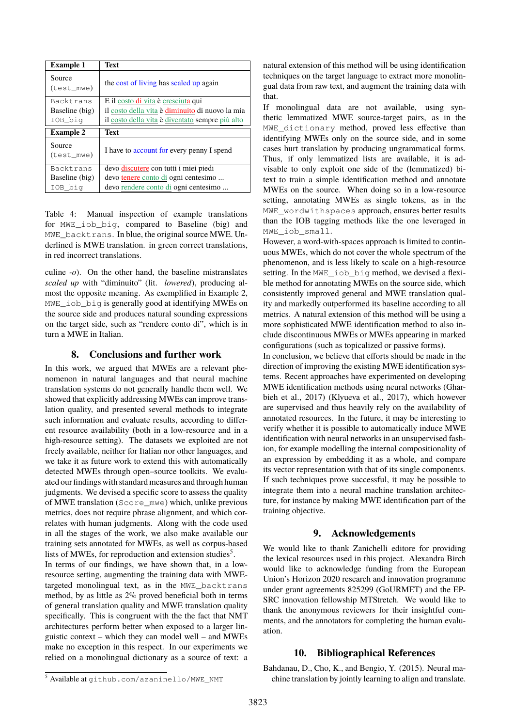| <b>Example 1</b>     | Text                                            |
|----------------------|-------------------------------------------------|
| Source<br>(test_mwe) | the cost of living has scaled up again          |
| Backtrans            | E il costo di vita è cresciuta qui              |
| Baseline (big)       | il costo della vita è diminuito di nuovo la mia |
| IOB_big              | il costo della vita è diventato sempre più alto |
|                      |                                                 |
| <b>Example 2</b>     | Text                                            |
| Source<br>(test mwe) | I have to account for every penny I spend       |
| Backtrans            | devo discutere con tutti i miei piedi           |
| Baseline (big)       | devo tenere conto di ogni centesimo             |

<span id="page-7-1"></span>Table 4: Manual inspection of example translations for MWE\_iob\_big, compared to Baseline (big) and MWE backtrans. In blue, the original source MWE. Underlined is MWE translation. in green correct translations, in red incorrect translations.

culine *-o*). On the other hand, the baseline mistranslates *scaled up* with "diminuito" (lit. *lowered*), producing almost the opposite meaning. As exemplified in Example 2, MWE\_iob\_big is generally good at identifying MWEs on the source side and produces natural sounding expressions on the target side, such as "rendere conto di", which is in turn a MWE in Italian.

# **8. Conclusions and further work**

<span id="page-7-0"></span>In this work, we argued that MWEs are a relevant phenomenon in natural languages and that neural machine translation systems do not generally handle them well. We showed that explicitly addressing MWEs can improve translation quality, and presented several methods to integrate such information and evaluate results, according to different resource availability (both in a low-resource and in a high-resource setting). The datasets we exploited are not freely available, neither for Italian nor other languages, and we take it as future work to extend this with automatically detected MWEs through open–source toolkits. We evaluated our findings with standard measures and through human judgments. We devised a specific score to assess the quality of MWE translation (Score\_mwe) which, unlike previous metrics, does not require phrase alignment, and which correlates with human judgments. Along with the code used in all the stages of the work, we also make available our training sets annotated for MWEs, as well as corpus-based lists of MWEs, for reproduction and extension studies<sup>[5](#page-0-0)</sup>.

In terms of our findings, we have shown that, in a lowresource setting, augmenting the training data with MWEtargeted monolingual text, as in the MWE\_backtrans method, by as little as 2% proved beneficial both in terms of general translation quality and MWE translation quality specifically. This is congruent with the the fact that NMT architectures perform better when exposed to a larger linguistic context – which they can model well – and MWEs make no exception in this respect. In our experiments we relied on a monolingual dictionary as a source of text: a natural extension of this method will be using identification techniques on the target language to extract more monolingual data from raw text, and augment the training data with that.

If monolingual data are not available, using synthetic lemmatized MWE source-target pairs, as in the MWE\_dictionary method, proved less effective than identifying MWEs only on the source side, and in some cases hurt translation by producing ungrammatical forms. Thus, if only lemmatized lists are available, it is advisable to only exploit one side of the (lemmatized) bitext to train a simple identification method and annotate MWEs on the source. When doing so in a low-resource setting, annotating MWEs as single tokens, as in the MWE\_wordwithspaces approach, ensures better results than the IOB tagging methods like the one leveraged in MWE\_iob\_small.

However, a word-with-spaces approach is limited to continuous MWEs, which do not cover the whole spectrum of the phenomenon, and is less likely to scale on a high-resource setting. In the MWE\_iob\_big method, we devised a flexible method for annotating MWEs on the source side, which consistently improved general and MWE translation quality and markedly outperformed its baseline according to all metrics. A natural extension of this method will be using a more sophisticated MWE identification method to also include discontinuous MWEs or MWEs appearing in marked configurations (such as topicalized or passive forms).

In conclusion, we believe that efforts should be made in the direction of improving the existing MWE identification systems. Recent approaches have experimented on developing MWE identification methods using neural networks [\(Ghar](#page-0-0)[bieh et al., 2017\)](#page-0-0) [\(Klyueva et al., 2017\)](#page-0-0), which however are supervised and thus heavily rely on the availability of annotated resources. In the future, it may be interesting to verify whether it is possible to automatically induce MWE identification with neural networks in an unsupervised fashion, for example modelling the internal compositionality of an expression by embedding it as a whole, and compare its vector representation with that of its single components. If such techniques prove successful, it may be possible to integrate them into a neural machine translation architecture, for instance by making MWE identification part of the training objective.

# **9. Acknowledgements**

We would like to thank Zanichelli editore for providing the lexical resources used in this project. Alexandra Birch would like to acknowledge funding from the European Union's Horizon 2020 research and innovation programme under grant agreements 825299 (GoURMET) and the EP-SRC innovation fellowship MTStretch. We would like to thank the anonymous reviewers for their insightful comments, and the annotators for completing the human evaluation.

### **10. Bibliographical References**

Bahdanau, D., Cho, K., and Bengio, Y. (2015). Neural machine translation by jointly learning to align and translate.

<sup>5</sup> Available at [github.com/azaninello/MWE\\_NMT](github.com/azaninello/MWE_NMT)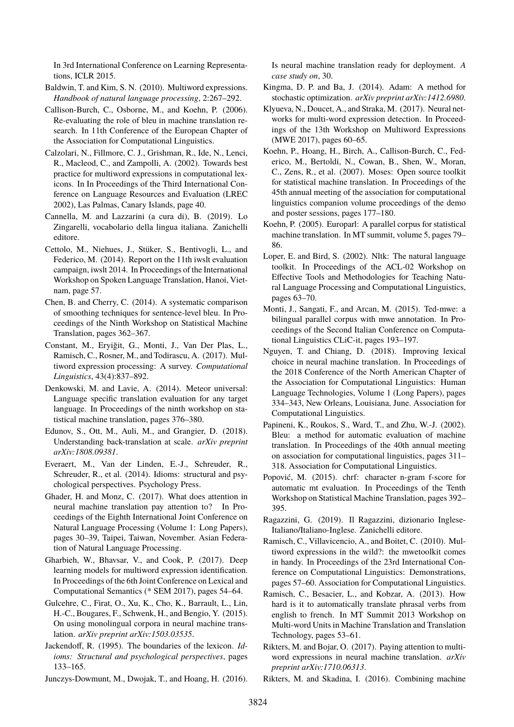In 3rd International Conference on Learning Representations, ICLR 2015.

- Baldwin, T. and Kim, S. N. (2010). Multiword expressions. *Handbook of natural language processing*, 2:267–292.
- Callison-Burch, C., Osborne, M., and Koehn, P. (2006). Re-evaluating the role of bleu in machine translation research. In 11th Conference of the European Chapter of the Association for Computational Linguistics.
- Calzolari, N., Fillmore, C. J., Grishman, R., Ide, N., Lenci, R., Macleod, C., and Zampolli, A. (2002). Towards best practice for multiword expressions in computational lexicons. In In Proceedings of the Third International Conference on Language Resources and Evaluation (LREC 2002), Las Palmas, Canary Islands, page 40.
- Cannella, M. and Lazzarini (a cura di), B. (2019). Lo Zingarelli, vocabolario della lingua italiana. Zanichelli editore.
- Cettolo, M., Niehues, J., Stüker, S., Bentivogli, L., and Federico, M. (2014). Report on the 11th iwslt evaluation campaign, iwslt 2014. In Proceedings of the International Workshop on Spoken Language Translation, Hanoi, Vietnam, page 57.
- Chen, B. and Cherry, C. (2014). A systematic comparison of smoothing techniques for sentence-level bleu. In Proceedings of the Ninth Workshop on Statistical Machine Translation, pages 362–367.
- Constant, M., Eryiğit, G., Monti, J., Van Der Plas, L., Ramisch, C., Rosner, M., and Todirascu, A. (2017). Multiword expression processing: A survey. *Computational Linguistics*, 43(4):837–892.
- Denkowski, M. and Lavie, A. (2014). Meteor universal: Language specific translation evaluation for any target language. In Proceedings of the ninth workshop on statistical machine translation, pages 376–380.
- Edunov, S., Ott, M., Auli, M., and Grangier, D. (2018). Understanding back-translation at scale. *arXiv preprint arXiv:1808.09381*.
- Everaert, M., Van der Linden, E.-J., Schreuder, R., Schreuder, R., et al. (2014). Idioms: structural and psychological perspectives. Psychology Press.
- Ghader, H. and Monz, C. (2017). What does attention in neural machine translation pay attention to? In Proceedings of the Eighth International Joint Conference on Natural Language Processing (Volume 1: Long Papers), pages 30–39, Taipei, Taiwan, November. Asian Federation of Natural Language Processing.
- Gharbieh, W., Bhavsar, V., and Cook, P. (2017). Deep learning models for multiword expression identification. In Proceedings of the 6th Joint Conference on Lexical and Computational Semantics (\* SEM 2017), pages 54–64.
- Gulcehre, C., Firat, O., Xu, K., Cho, K., Barrault, L., Lin, H.-C., Bougares, F., Schwenk, H., and Bengio, Y. (2015). On using monolingual corpora in neural machine translation. *arXiv preprint arXiv:1503.03535*.
- Jackendoff, R. (1995). The boundaries of the lexicon. *Idioms: Structural and psychological perspectives*, pages 133–165.

Junczys-Dowmunt, M., Dwojak, T., and Hoang, H. (2016).

Is neural machine translation ready for deployment. *A case study on*, 30.

- Kingma, D. P. and Ba, J. (2014). Adam: A method for stochastic optimization. *arXiv preprint arXiv:1412.6980*.
- Klyueva, N., Doucet, A., and Straka, M. (2017). Neural networks for multi-word expression detection. In Proceedings of the 13th Workshop on Multiword Expressions (MWE 2017), pages 60–65.
- Koehn, P., Hoang, H., Birch, A., Callison-Burch, C., Federico, M., Bertoldi, N., Cowan, B., Shen, W., Moran, C., Zens, R., et al. (2007). Moses: Open source toolkit for statistical machine translation. In Proceedings of the 45th annual meeting of the association for computational linguistics companion volume proceedings of the demo and poster sessions, pages 177–180.
- Koehn, P. (2005). Europarl: A parallel corpus for statistical machine translation. In MT summit, volume 5, pages 79– 86.
- Loper, E. and Bird, S. (2002). Nltk: The natural language toolkit. In Proceedings of the ACL-02 Workshop on Effective Tools and Methodologies for Teaching Natural Language Processing and Computational Linguistics, pages 63–70.
- Monti, J., Sangati, F., and Arcan, M. (2015). Ted-mwe: a bilingual parallel corpus with mwe annotation. In Proceedings of the Second Italian Conference on Computational Linguistics CLiC-it, pages 193–197.
- Nguyen, T. and Chiang, D. (2018). Improving lexical choice in neural machine translation. In Proceedings of the 2018 Conference of the North American Chapter of the Association for Computational Linguistics: Human Language Technologies, Volume 1 (Long Papers), pages 334–343, New Orleans, Louisiana, June. Association for Computational Linguistics.
- Papineni, K., Roukos, S., Ward, T., and Zhu, W.-J. (2002). Bleu: a method for automatic evaluation of machine translation. In Proceedings of the 40th annual meeting on association for computational linguistics, pages 311– 318. Association for Computational Linguistics.
- Popović, M. (2015). chrf: character n-gram f-score for automatic mt evaluation. In Proceedings of the Tenth Workshop on Statistical Machine Translation, pages 392– 395.
- Ragazzini, G. (2019). Il Ragazzini, dizionario Inglese-Italiano/Italiano-Inglese. Zanichelli editore.
- Ramisch, C., Villavicencio, A., and Boitet, C. (2010). Multiword expressions in the wild?: the mwetoolkit comes in handy. In Proceedings of the 23rd International Conference on Computational Linguistics: Demonstrations, pages 57–60. Association for Computational Linguistics.
- Ramisch, C., Besacier, L., and Kobzar, A. (2013). How hard is it to automatically translate phrasal verbs from english to french. In MT Summit 2013 Workshop on Multi-word Units in Machine Translation and Translation Technology, pages 53–61.
- Rikters, M. and Bojar, O. (2017). Paying attention to multiword expressions in neural machine translation. *arXiv preprint arXiv:1710.06313*.
- Rikters, M. and Skadina, I. (2016). Combining machine